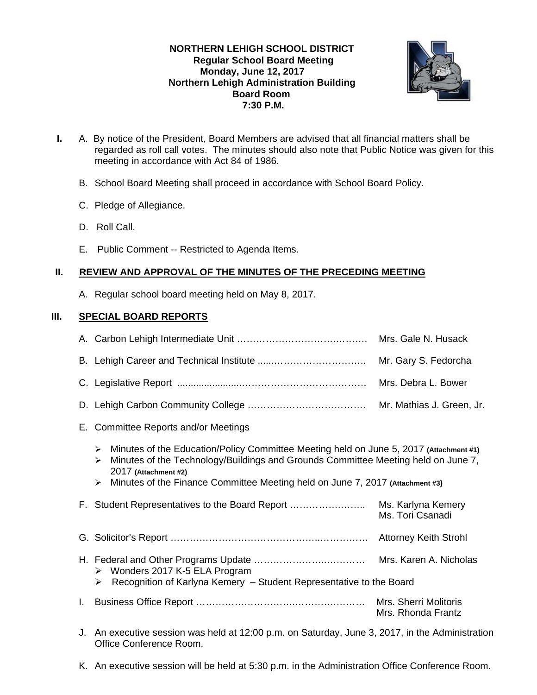# **NORTHERN LEHIGH SCHOOL DISTRICT Regular School Board Meeting Monday, June 12, 2017 Northern Lehigh Administration Building Board Room 7:30 P.M.**



- **I.** A. By notice of the President, Board Members are advised that all financial matters shall be regarded as roll call votes. The minutes should also note that Public Notice was given for this meeting in accordance with Act 84 of 1986.
	- B. School Board Meeting shall proceed in accordance with School Board Policy.
	- C. Pledge of Allegiance.
	- D. Roll Call.
	- E. Public Comment -- Restricted to Agenda Items.

# **II. REVIEW AND APPROVAL OF THE MINUTES OF THE PRECEDING MEETING**

A. Regular school board meeting held on May 8, 2017.

# **III. SPECIAL BOARD REPORTS**

|    |                                                                                                                                                                                                                                                                                                                                             | Mrs. Gale N. Husack                         |  |  |  |
|----|---------------------------------------------------------------------------------------------------------------------------------------------------------------------------------------------------------------------------------------------------------------------------------------------------------------------------------------------|---------------------------------------------|--|--|--|
|    | Mr. Gary S. Fedorcha                                                                                                                                                                                                                                                                                                                        |                                             |  |  |  |
|    |                                                                                                                                                                                                                                                                                                                                             | Mrs. Debra L. Bower                         |  |  |  |
|    | Mr. Mathias J. Green, Jr.                                                                                                                                                                                                                                                                                                                   |                                             |  |  |  |
|    | E. Committee Reports and/or Meetings                                                                                                                                                                                                                                                                                                        |                                             |  |  |  |
|    | Minutes of the Education/Policy Committee Meeting held on June 5, 2017 (Attachment #1)<br>$\blacktriangleright$<br>Minutes of the Technology/Buildings and Grounds Committee Meeting held on June 7,<br>$\blacktriangleright$<br>2017 (Attachment #2)<br>Minutes of the Finance Committee Meeting held on June 7, 2017 (Attachment #3)<br>➤ |                                             |  |  |  |
|    | F. Student Representatives to the Board Report                                                                                                                                                                                                                                                                                              | Ms. Karlyna Kemery<br>Ms. Tori Csanadi      |  |  |  |
|    |                                                                                                                                                                                                                                                                                                                                             | <b>Attorney Keith Strohl</b>                |  |  |  |
|    | ▶ Wonders 2017 K-5 ELA Program<br>Recognition of Karlyna Kemery - Student Representative to the Board<br>➤                                                                                                                                                                                                                                  | Mrs. Karen A. Nicholas                      |  |  |  |
| L. |                                                                                                                                                                                                                                                                                                                                             | Mrs. Sherri Molitoris<br>Mrs. Rhonda Frantz |  |  |  |
| J. | An executive session was held at 12:00 p.m. on Saturday, June 3, 2017, in the Administration<br>Office Conference Room.                                                                                                                                                                                                                     |                                             |  |  |  |

K. An executive session will be held at 5:30 p.m. in the Administration Office Conference Room.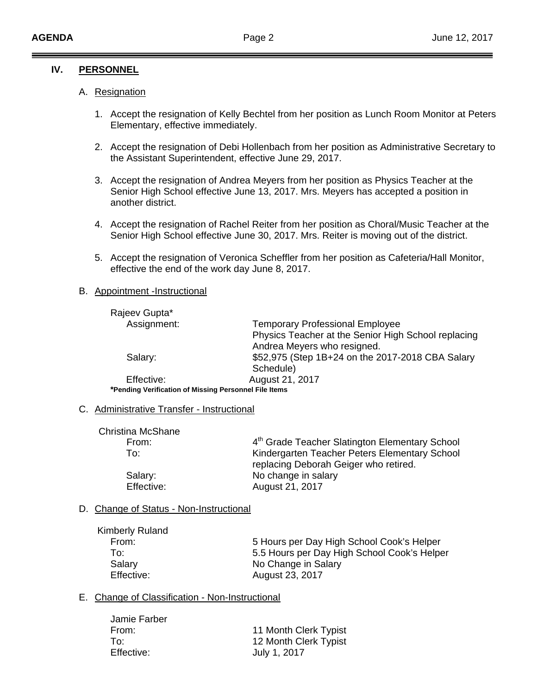## **IV. PERSONNEL**

## A. Resignation

- 1. Accept the resignation of Kelly Bechtel from her position as Lunch Room Monitor at Peters Elementary, effective immediately.
- 2. Accept the resignation of Debi Hollenbach from her position as Administrative Secretary to the Assistant Superintendent, effective June 29, 2017.
- 3. Accept the resignation of Andrea Meyers from her position as Physics Teacher at the Senior High School effective June 13, 2017. Mrs. Meyers has accepted a position in another district.
- 4. Accept the resignation of Rachel Reiter from her position as Choral/Music Teacher at the Senior High School effective June 30, 2017. Mrs. Reiter is moving out of the district.
- 5. Accept the resignation of Veronica Scheffler from her position as Cafeteria/Hall Monitor, effective the end of the work day June 8, 2017.

#### B. Appointment -Instructional

| Rajeev Gupta*                                         |                                                     |
|-------------------------------------------------------|-----------------------------------------------------|
| Assignment:                                           | <b>Temporary Professional Employee</b>              |
|                                                       | Physics Teacher at the Senior High School replacing |
|                                                       | Andrea Meyers who resigned.                         |
| Salary:                                               | \$52,975 (Step 1B+24 on the 2017-2018 CBA Salary    |
|                                                       | Schedule)                                           |
| Effective:                                            | August 21, 2017                                     |
| *Pending Verification of Missing Personnel File Items |                                                     |

C. Administrative Transfer - Instructional

| <b>Christina McShane</b> |                                                                                        |
|--------------------------|----------------------------------------------------------------------------------------|
| From:                    | 4th Grade Teacher Slatington Elementary School                                         |
| To:                      | Kindergarten Teacher Peters Elementary School<br>replacing Deborah Geiger who retired. |
| Salary:                  | No change in salary                                                                    |
| Effective:               | August 21, 2017                                                                        |

#### D. Change of Status - Non-Instructional

| <b>Kimberly Ruland</b> |
|------------------------|
| From:                  |
| To:                    |
| Salary                 |
| Effective:             |

5 Hours per Day High School Cook's Helper 5.5 Hours per Day High School Cook's Helper No Change in Salary August 23, 2017

# E. Change of Classification - Non-Instructional

| 11 Month Clerk Typist |
|-----------------------|
| 12 Month Clerk Typist |
| July 1, 2017          |
|                       |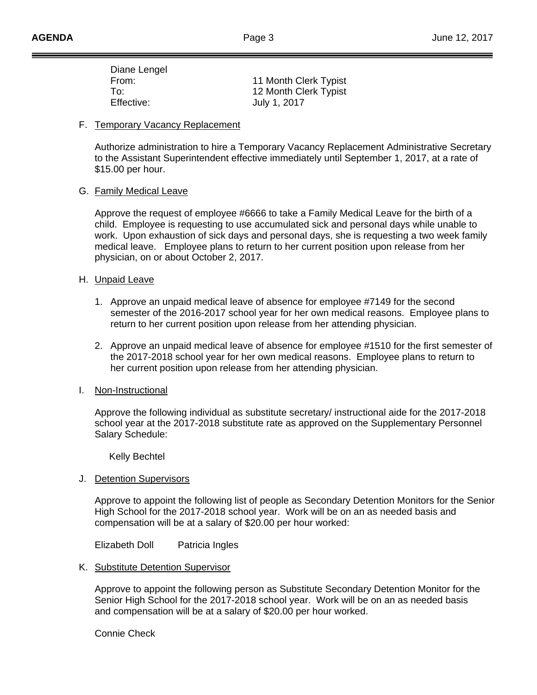| Diane Lengel |                       |
|--------------|-----------------------|
| From:        | 11 Month Clerk Typist |
| To:          | 12 Month Clerk Typist |
| Effective:   | July 1, 2017          |
|              |                       |

#### F. Temporary Vacancy Replacement

Authorize administration to hire a Temporary Vacancy Replacement Administrative Secretary to the Assistant Superintendent effective immediately until September 1, 2017, at a rate of \$15.00 per hour.

#### G. Family Medical Leave

Approve the request of employee #6666 to take a Family Medical Leave for the birth of a child. Employee is requesting to use accumulated sick and personal days while unable to work. Upon exhaustion of sick days and personal days, she is requesting a two week family medical leave. Employee plans to return to her current position upon release from her physician, on or about October 2, 2017.

## H. Unpaid Leave

- 1. Approve an unpaid medical leave of absence for employee #7149 for the second semester of the 2016-2017 school year for her own medical reasons. Employee plans to return to her current position upon release from her attending physician.
- 2. Approve an unpaid medical leave of absence for employee #1510 for the first semester of the 2017-2018 school year for her own medical reasons. Employee plans to return to her current position upon release from her attending physician.

#### I. Non-Instructional

Approve the following individual as substitute secretary/ instructional aide for the 2017-2018 school year at the 2017-2018 substitute rate as approved on the Supplementary Personnel Salary Schedule:

Kelly Bechtel

J. Detention Supervisors

Approve to appoint the following list of people as Secondary Detention Monitors for the Senior High School for the 2017-2018 school year. Work will be on an as needed basis and compensation will be at a salary of \$20.00 per hour worked:

Elizabeth Doll Patricia Ingles

K. Substitute Detention Supervisor

 Approve to appoint the following person as Substitute Secondary Detention Monitor for the Senior High School for the 2017-2018 school year. Work will be on an as needed basis and compensation will be at a salary of \$20.00 per hour worked.

Connie Check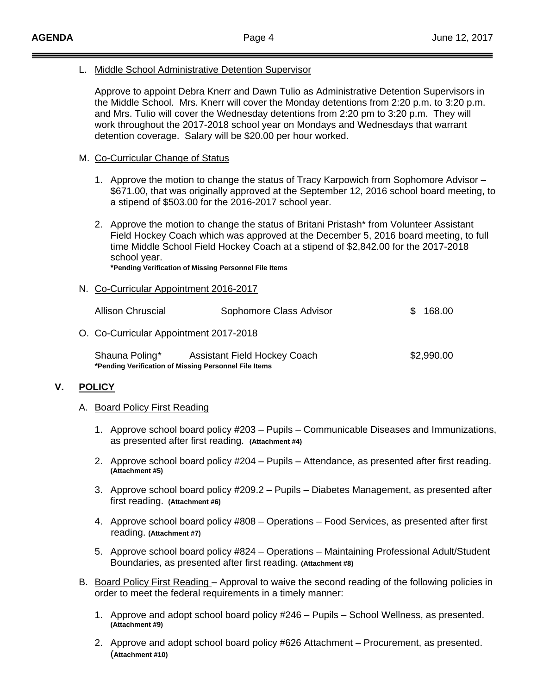L. Middle School Administrative Detention Supervisor

 Approve to appoint Debra Knerr and Dawn Tulio as Administrative Detention Supervisors in the Middle School. Mrs. Knerr will cover the Monday detentions from 2:20 p.m. to 3:20 p.m. and Mrs. Tulio will cover the Wednesday detentions from 2:20 pm to 3:20 p.m. They will work throughout the 2017-2018 school year on Mondays and Wednesdays that warrant detention coverage. Salary will be \$20.00 per hour worked.

#### M. Co-Curricular Change of Status

- 1. Approve the motion to change the status of Tracy Karpowich from Sophomore Advisor \$671.00, that was originally approved at the September 12, 2016 school board meeting, to a stipend of \$503.00 for the 2016-2017 school year.
- 2. Approve the motion to change the status of Britani Pristash\* from Volunteer Assistant Field Hockey Coach which was approved at the December 5, 2016 board meeting, to full time Middle School Field Hockey Coach at a stipend of \$2,842.00 for the 2017-2018 school year.  **\*Pending Verification of Missing Personnel File Items**

# N. Co-Curricular Appointment 2016-2017

| <b>Allison Chruscial</b>                                                | Sophomore Class Advisor             |  | 168.00     |  |
|-------------------------------------------------------------------------|-------------------------------------|--|------------|--|
| O. Co-Curricular Appointment 2017-2018                                  |                                     |  |            |  |
| Shauna Poling*<br>*Pending Verification of Missing Personnel File Items | <b>Assistant Field Hockey Coach</b> |  | \$2,990.00 |  |

#### **V. POLICY**

- A. Board Policy First Reading
	- 1. Approve school board policy #203 Pupils Communicable Diseases and Immunizations, as presented after first reading. **(Attachment #4)**
	- 2. Approve school board policy #204 Pupils Attendance, as presented after first reading. **(Attachment #5)**
	- 3. Approve school board policy #209.2 Pupils Diabetes Management, as presented after first reading. **(Attachment #6)**
	- 4. Approve school board policy #808 Operations Food Services, as presented after first reading. **(Attachment #7)**
	- 5. Approve school board policy #824 Operations Maintaining Professional Adult/Student Boundaries, as presented after first reading. **(Attachment #8)**
- B. Board Policy First Reading Approval to waive the second reading of the following policies in order to meet the federal requirements in a timely manner:
	- 1. Approve and adopt school board policy #246 Pupils School Wellness, as presented. **(Attachment #9)**
	- 2. Approve and adopt school board policy #626 Attachment Procurement, as presented. (**Attachment #10)**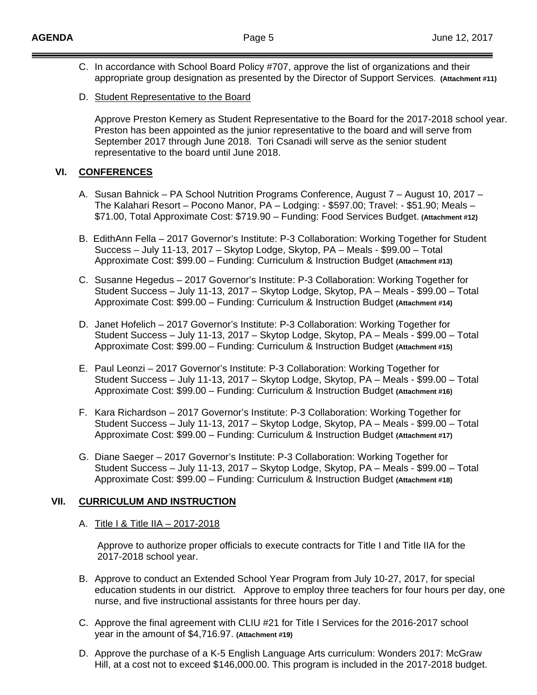- C. In accordance with School Board Policy #707, approve the list of organizations and their appropriate group designation as presented by the Director of Support Services. **(Attachment #11)**
- D. Student Representative to the Board

Approve Preston Kemery as Student Representative to the Board for the 2017-2018 school year. Preston has been appointed as the junior representative to the board and will serve from September 2017 through June 2018. Tori Csanadi will serve as the senior student representative to the board until June 2018.

## **VI. CONFERENCES**

- A. Susan Bahnick PA School Nutrition Programs Conference, August 7 August 10, 2017 The Kalahari Resort – Pocono Manor, PA – Lodging: - \$597.00; Travel: - \$51.90; Meals – \$71.00, Total Approximate Cost: \$719.90 – Funding: Food Services Budget. **(Attachment #12)**
- B. EdithAnn Fella 2017 Governor's Institute: P-3 Collaboration: Working Together for Student Success – July 11-13, 2017 – Skytop Lodge, Skytop, PA – Meals - \$99.00 – Total Approximate Cost: \$99.00 – Funding: Curriculum & Instruction Budget **(Attachment #13)**
- C. Susanne Hegedus 2017 Governor's Institute: P-3 Collaboration: Working Together for Student Success – July 11-13, 2017 – Skytop Lodge, Skytop, PA – Meals - \$99.00 – Total Approximate Cost: \$99.00 – Funding: Curriculum & Instruction Budget **(Attachment #14)**
- D. Janet Hofelich 2017 Governor's Institute: P-3 Collaboration: Working Together for Student Success – July 11-13, 2017 – Skytop Lodge, Skytop, PA – Meals - \$99.00 – Total Approximate Cost: \$99.00 – Funding: Curriculum & Instruction Budget **(Attachment #15)**
- E. Paul Leonzi 2017 Governor's Institute: P-3 Collaboration: Working Together for Student Success – July 11-13, 2017 – Skytop Lodge, Skytop, PA – Meals - \$99.00 – Total Approximate Cost: \$99.00 – Funding: Curriculum & Instruction Budget **(Attachment #16)**
- F. Kara Richardson 2017 Governor's Institute: P-3 Collaboration: Working Together for Student Success – July 11-13, 2017 – Skytop Lodge, Skytop, PA – Meals - \$99.00 – Total Approximate Cost: \$99.00 – Funding: Curriculum & Instruction Budget **(Attachment #17)**
- G. Diane Saeger 2017 Governor's Institute: P-3 Collaboration: Working Together for Student Success – July 11-13, 2017 – Skytop Lodge, Skytop, PA – Meals - \$99.00 – Total Approximate Cost: \$99.00 – Funding: Curriculum & Instruction Budget **(Attachment #18)**

# **VII. CURRICULUM AND INSTRUCTION**

A. Title | & Title | IA - 2017-2018

 Approve to authorize proper officials to execute contracts for Title I and Title IIA for the 2017-2018 school year.

- B. Approve to conduct an Extended School Year Program from July 10-27, 2017, for special education students in our district. Approve to employ three teachers for four hours per day, one nurse, and five instructional assistants for three hours per day.
- C. Approve the final agreement with CLIU #21 for Title I Services for the 2016-2017 school year in the amount of \$4,716.97. **(Attachment #19)**
- D. Approve the purchase of a K-5 English Language Arts curriculum: Wonders 2017: McGraw Hill, at a cost not to exceed \$146,000.00. This program is included in the 2017-2018 budget.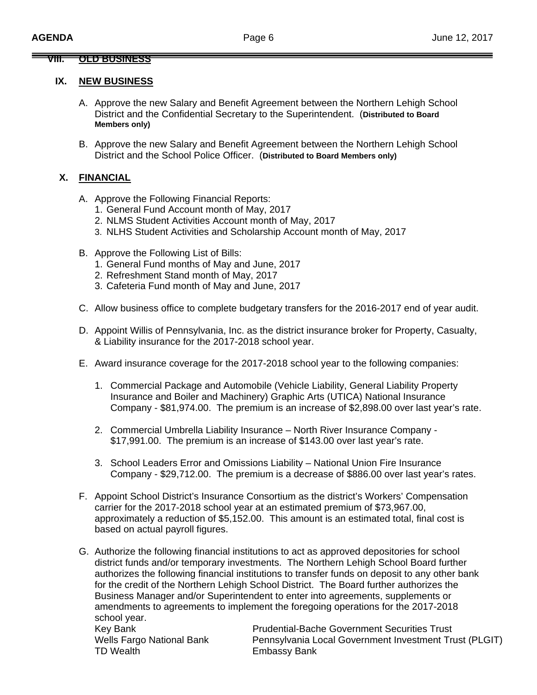## **VIII. OLD BUSINESS**

#### **IX. NEW BUSINESS**

- A. Approve the new Salary and Benefit Agreement between the Northern Lehigh School District and the Confidential Secretary to the Superintendent. (**Distributed to Board Members only)**
- B. Approve the new Salary and Benefit Agreement between the Northern Lehigh School District and the School Police Officer. (**Distributed to Board Members only)**

# **X. FINANCIAL**

- A. Approve the Following Financial Reports:
	- 1. General Fund Account month of May, 2017
	- 2. NLMS Student Activities Account month of May, 2017
	- 3. NLHS Student Activities and Scholarship Account month of May, 2017
- B. Approve the Following List of Bills:
	- 1. General Fund months of May and June, 2017
	- 2. Refreshment Stand month of May, 2017
	- 3. Cafeteria Fund month of May and June, 2017
- C. Allow business office to complete budgetary transfers for the 2016-2017 end of year audit.
- D. Appoint Willis of Pennsylvania, Inc. as the district insurance broker for Property, Casualty, & Liability insurance for the 2017-2018 school year.
- E. Award insurance coverage for the 2017-2018 school year to the following companies:
	- 1. Commercial Package and Automobile (Vehicle Liability, General Liability Property Insurance and Boiler and Machinery) Graphic Arts (UTICA) National Insurance Company - \$81,974.00. The premium is an increase of \$2,898.00 over last year's rate.
	- 2. Commercial Umbrella Liability Insurance North River Insurance Company \$17,991.00. The premium is an increase of \$143.00 over last year's rate.
	- 3. School Leaders Error and Omissions Liability National Union Fire Insurance Company - \$29,712.00. The premium is a decrease of \$886.00 over last year's rates.
- F. Appoint School District's Insurance Consortium as the district's Workers' Compensation carrier for the 2017-2018 school year at an estimated premium of \$73,967.00, approximately a reduction of \$5,152.00. This amount is an estimated total, final cost is based on actual payroll figures.
- G. Authorize the following financial institutions to act as approved depositories for school district funds and/or temporary investments. The Northern Lehigh School Board further authorizes the following financial institutions to transfer funds on deposit to any other bank for the credit of the Northern Lehigh School District. The Board further authorizes the Business Manager and/or Superintendent to enter into agreements, supplements or amendments to agreements to implement the foregoing operations for the 2017-2018 school year.

TD Wealth Embassy Bank

Key Bank **Prudential-Bache Government Securities Trust** Wells Fargo National Bank **Pennsylvania Local Government Investment Trust (PLGIT)**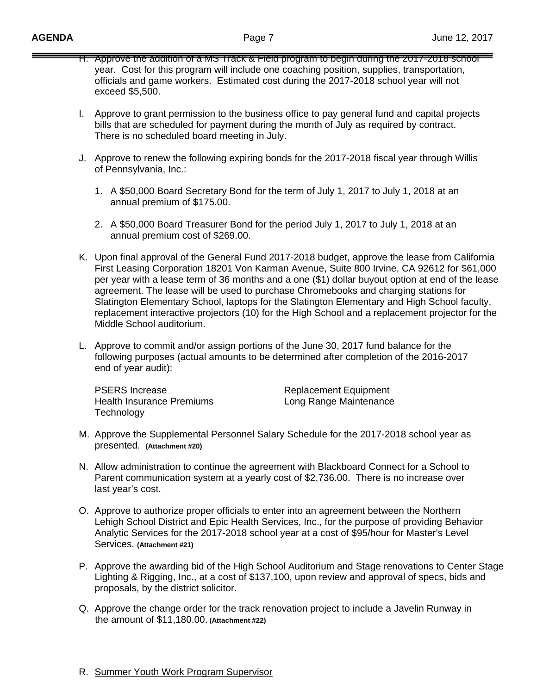- H. Approve the addition of a MS Track & Field program to begin during the 2017-2018 school year. Cost for this program will include one coaching position, supplies, transportation, officials and game workers. Estimated cost during the 2017-2018 school year will not exceed \$5,500.
- I. Approve to grant permission to the business office to pay general fund and capital projects bills that are scheduled for payment during the month of July as required by contract. There is no scheduled board meeting in July.
- J. Approve to renew the following expiring bonds for the 2017-2018 fiscal year through Willis of Pennsylvania, Inc.:
	- 1. A \$50,000 Board Secretary Bond for the term of July 1, 2017 to July 1, 2018 at an annual premium of \$175.00.
	- 2. A \$50,000 Board Treasurer Bond for the period July 1, 2017 to July 1, 2018 at an annual premium cost of \$269.00.
- K. Upon final approval of the General Fund 2017-2018 budget, approve the lease from California First Leasing Corporation 18201 Von Karman Avenue, Suite 800 Irvine, CA 92612 for \$61,000 per year with a lease term of 36 months and a one (\$1) dollar buyout option at end of the lease agreement. The lease will be used to purchase Chromebooks and charging stations for Slatington Elementary School, laptops for the Slatington Elementary and High School faculty, replacement interactive projectors (10) for the High School and a replacement projector for the Middle School auditorium.
- L. Approve to commit and/or assign portions of the June 30, 2017 fund balance for the following purposes (actual amounts to be determined after completion of the 2016-2017 end of year audit):

PSERS Increase **Replacement Equipment** Health Insurance Premiums **Long Range Maintenance Technology** 

- M. Approve the Supplemental Personnel Salary Schedule for the 2017-2018 school year as presented. **(Attachment #20)**
- N. Allow administration to continue the agreement with Blackboard Connect for a School to Parent communication system at a yearly cost of \$2,736.00. There is no increase over last year's cost.
- O. Approve to authorize proper officials to enter into an agreement between the Northern Lehigh School District and Epic Health Services, Inc., for the purpose of providing Behavior Analytic Services for the 2017-2018 school year at a cost of \$95/hour for Master's Level Services. **(Attachment #21)**
- P. Approve the awarding bid of the High School Auditorium and Stage renovations to Center Stage Lighting & Rigging, Inc., at a cost of \$137,100, upon review and approval of specs, bids and proposals, by the district solicitor.
- Q. Approve the change order for the track renovation project to include a Javelin Runway in the amount of \$11,180.00. **(Attachment #22)**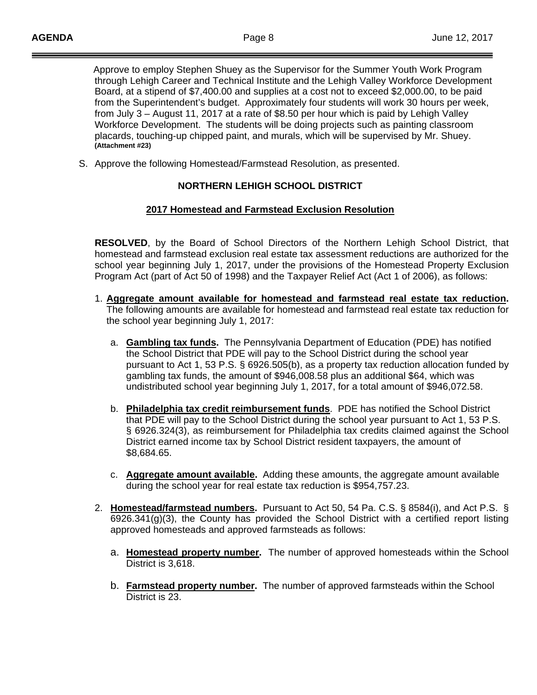Approve to employ Stephen Shuey as the Supervisor for the Summer Youth Work Program through Lehigh Career and Technical Institute and the Lehigh Valley Workforce Development Board, at a stipend of \$7,400.00 and supplies at a cost not to exceed \$2,000.00, to be paid from the Superintendent's budget. Approximately four students will work 30 hours per week, from July 3 – August 11, 2017 at a rate of \$8.50 per hour which is paid by Lehigh Valley Workforce Development. The students will be doing projects such as painting classroom placards, touching-up chipped paint, and murals, which will be supervised by Mr. Shuey.  **(Attachment #23)** 

S. Approve the following Homestead/Farmstead Resolution, as presented.

# **NORTHERN LEHIGH SCHOOL DISTRICT**

## **2017 Homestead and Farmstead Exclusion Resolution**

**RESOLVED**, by the Board of School Directors of the Northern Lehigh School District, that homestead and farmstead exclusion real estate tax assessment reductions are authorized for the school year beginning July 1, 2017, under the provisions of the Homestead Property Exclusion Program Act (part of Act 50 of 1998) and the Taxpayer Relief Act (Act 1 of 2006), as follows:

- 1. **Aggregate amount available for homestead and farmstead real estate tax reduction.** The following amounts are available for homestead and farmstead real estate tax reduction for the school year beginning July 1, 2017:
	- a. **Gambling tax funds.** The Pennsylvania Department of Education (PDE) has notified the School District that PDE will pay to the School District during the school year pursuant to Act 1, 53 P.S. § 6926.505(b), as a property tax reduction allocation funded by gambling tax funds, the amount of \$946,008.58 plus an additional \$64, which was undistributed school year beginning July 1, 2017, for a total amount of \$946,072.58.
	- b. **Philadelphia tax credit reimbursement funds**. PDE has notified the School District that PDE will pay to the School District during the school year pursuant to Act 1, 53 P.S. § 6926.324(3), as reimbursement for Philadelphia tax credits claimed against the School District earned income tax by School District resident taxpayers, the amount of \$8,684.65.
	- c. **Aggregate amount available.** Adding these amounts, the aggregate amount available during the school year for real estate tax reduction is \$954,757.23.
- 2. **Homestead/farmstead numbers.** Pursuant to Act 50, 54 Pa. C.S. § 8584(i), and Act P.S. § 6926.341(g)(3), the County has provided the School District with a certified report listing approved homesteads and approved farmsteads as follows:
	- a. **Homestead property number.** The number of approved homesteads within the School District is 3,618.
	- b. **Farmstead property number.** The number of approved farmsteads within the School District is 23.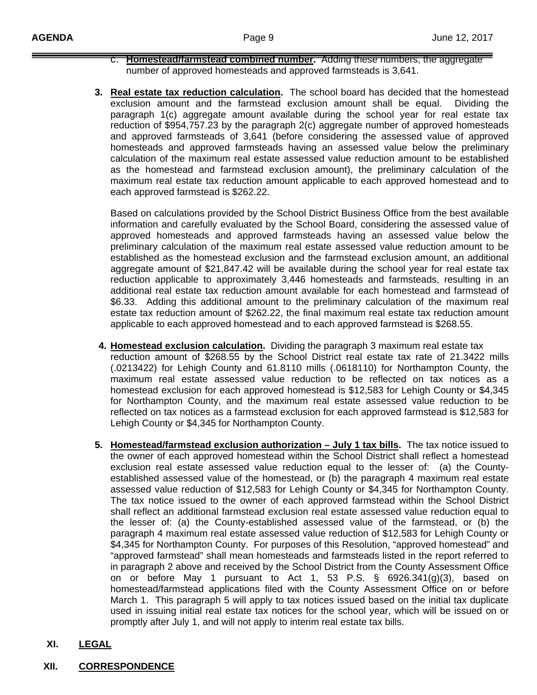- c. **Homestead/farmstead combined number.** Adding these numbers, the aggregate number of approved homesteads and approved farmsteads is 3,641.
- **3. Real estate tax reduction calculation.** The school board has decided that the homestead exclusion amount and the farmstead exclusion amount shall be equal. Dividing the paragraph 1(c) aggregate amount available during the school year for real estate tax reduction of \$954,757.23 by the paragraph 2(c) aggregate number of approved homesteads and approved farmsteads of 3,641 (before considering the assessed value of approved homesteads and approved farmsteads having an assessed value below the preliminary calculation of the maximum real estate assessed value reduction amount to be established as the homestead and farmstead exclusion amount), the preliminary calculation of the maximum real estate tax reduction amount applicable to each approved homestead and to each approved farmstead is \$262.22.

 Based on calculations provided by the School District Business Office from the best available information and carefully evaluated by the School Board, considering the assessed value of approved homesteads and approved farmsteads having an assessed value below the preliminary calculation of the maximum real estate assessed value reduction amount to be established as the homestead exclusion and the farmstead exclusion amount, an additional aggregate amount of \$21,847.42 will be available during the school year for real estate tax reduction applicable to approximately 3,446 homesteads and farmsteads, resulting in an additional real estate tax reduction amount available for each homestead and farmstead of \$6.33. Adding this additional amount to the preliminary calculation of the maximum real estate tax reduction amount of \$262.22, the final maximum real estate tax reduction amount applicable to each approved homestead and to each approved farmstead is \$268.55.

- **4. Homestead exclusion calculation.** Dividing the paragraph 3 maximum real estate tax reduction amount of \$268.55 by the School District real estate tax rate of 21.3422 mills (.0213422) for Lehigh County and 61.8110 mills (.0618110) for Northampton County, the maximum real estate assessed value reduction to be reflected on tax notices as a homestead exclusion for each approved homestead is \$12,583 for Lehigh County or \$4,345 for Northampton County, and the maximum real estate assessed value reduction to be reflected on tax notices as a farmstead exclusion for each approved farmstead is \$12,583 for Lehigh County or \$4,345 for Northampton County.
- **5. Homestead/farmstead exclusion authorization July 1 tax bills.** The tax notice issued to the owner of each approved homestead within the School District shall reflect a homestead exclusion real estate assessed value reduction equal to the lesser of: (a) the Countyestablished assessed value of the homestead, or (b) the paragraph 4 maximum real estate assessed value reduction of \$12,583 for Lehigh County or \$4,345 for Northampton County. The tax notice issued to the owner of each approved farmstead within the School District shall reflect an additional farmstead exclusion real estate assessed value reduction equal to the lesser of: (a) the County-established assessed value of the farmstead, or (b) the paragraph 4 maximum real estate assessed value reduction of \$12,583 for Lehigh County or \$4,345 for Northampton County. For purposes of this Resolution, "approved homestead" and "approved farmstead" shall mean homesteads and farmsteads listed in the report referred to in paragraph 2 above and received by the School District from the County Assessment Office on or before May 1 pursuant to Act 1, 53 P.S. § 6926.341(g)(3), based on homestead/farmstead applications filed with the County Assessment Office on or before March 1. This paragraph 5 will apply to tax notices issued based on the initial tax duplicate used in issuing initial real estate tax notices for the school year, which will be issued on or promptly after July 1, and will not apply to interim real estate tax bills.
- **XI. LEGAL**
- **XII. CORRESPONDENCE**